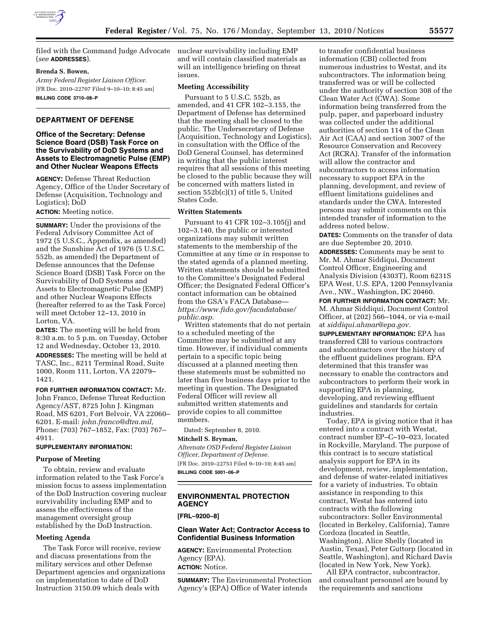

filed with the Command Judge Advocate nuclear survivability including EMP (*see* **ADDRESSES**).

### **Brenda S. Bowen,**

*Army Federal Register Liaison Officer.*  [FR Doc. 2010–22707 Filed 9–10–10; 8:45 am] **BILLING CODE 3710–08–P** 

# **DEPARTMENT OF DEFENSE**

# **Office of the Secretary: Defense Science Board (DSB) Task Force on the Survivability of DoD Systems and Assets to Electromagnetic Pulse (EMP) and Other Nuclear Weapons Effects**

**AGENCY:** Defense Threat Reduction Agency, Office of the Under Secretary of Defense (Acquisition, Technology and Logistics); DoD

**ACTION:** Meeting notice.

**SUMMARY:** Under the provisions of the Federal Advisory Committee Act of 1972 (5 U.S.C., Appendix, as amended) and the Sunshine Act of 1976 (5 U.S.C. 552b, as amended) the Department of Defense announces that the Defense Science Board (DSB) Task Force on the Survivability of DoD Systems and Assets to Electromagnetic Pulse (EMP) and other Nuclear Weapons Effects (hereafter referred to as the Task Force) will meet October 12–13, 2010 in Lorton, VA.

**DATES:** The meeting will be held from 8:30 a.m. to 5 p.m. on Tuesday, October 12 and Wednesday, October 13, 2010.

**ADDRESSES:** The meeting will be held at TASC, Inc., 8211 Terminal Road, Suite 1000, Room 111, Lorton, VA 22079– 1421.

**FOR FURTHER INFORMATION CONTACT:** Mr. John Franco, Defense Threat Reduction Agency/AST, 8725 John J. Kingman Road, MS 6201, Fort Belvoir, VA 22060– 6201. E-mail: *[john.franco@dtra.mil,](mailto:john.franco@dtra.mil)*  Phone: (703) 767–1852, Fax: (703) 767– 4911.

# **SUPPLEMENTARY INFORMATION:**

#### **Purpose of Meeting**

To obtain, review and evaluate information related to the Task Force's mission focus to assess implementation of the DoD Instruction covering nuclear survivability including EMP and to assess the effectiveness of the management oversight group established by the DoD Instruction.

#### **Meeting Agenda**

The Task Force will receive, review and discuss presentations from the military services and other Defense Department agencies and organizations on implementation to date of DoD Instruction 3150.09 which deals with

and will contain classified materials as will an intelligence briefing on threat issues.

## **Meeting Accessibility**

Pursuant to 5 U.S.C. 552b, as amended, and 41 CFR 102–3.155, the Department of Defense has determined that the meeting shall be closed to the public. The Undersecretary of Defense (Acquisition, Technology and Logistics), in consultation with the Office of the DoD General Counsel, has determined in writing that the public interest requires that all sessions of this meeting be closed to the public because they will be concerned with matters listed in section 552b(c)(1) of title 5, United States Code.

#### **Written Statements**

Pursuant to 41 CFR 102–3.105(j) and 102–3.140, the public or interested organizations may submit written statements to the membership of the Committee at any time or in response to the stated agenda of a planned meeting. Written statements should be submitted to the Committee's Designated Federal Officer; the Designated Federal Officer's contact information can be obtained from the GSA's FACA Database *[https://www.fido.gov/facadatabase/](https://www.fido.gov/facadatabase/public.asp) [public.asp.](https://www.fido.gov/facadatabase/public.asp)* 

Written statements that do not pertain to a scheduled meeting of the Committee may be submitted at any time. However, if individual comments pertain to a specific topic being discussed at a planned meeting then these statements must be submitted no later than five business days prior to the meeting in question. The Designated Federal Officer will review all submitted written statements and provide copies to all committee members.

Dated: September 8, 2010.

# **Mitchell S. Bryman,**

*Alternate OSD Federal Register Liaison Officer, Department of Defense.*  [FR Doc. 2010–22753 Filed 9–10–10; 8:45 am]

**BILLING CODE 5001–06–P** 

# **ENVIRONMENTAL PROTECTION AGENCY**

**[FRL–9200–8]** 

# **Clean Water Act; Contractor Access to Confidential Business Information**

**AGENCY:** Environmental Protection Agency (EPA). **ACTION:** Notice.

**SUMMARY:** The Environmental Protection Agency's (EPA) Office of Water intends

to transfer confidential business information (CBI) collected from numerous industries to Westat, and its subcontractors. The information being transferred was or will be collected under the authority of section 308 of the Clean Water Act (CWA). Some information being transferred from the pulp, paper, and paperboard industry was collected under the additional authorities of section 114 of the Clean Air Act (CAA) and section 3007 of the Resource Conservation and Recovery Act (RCRA). Transfer of the information will allow the contractor and subcontractors to access information necessary to support EPA in the planning, development, and review of effluent limitations guidelines and standards under the CWA. Interested persons may submit comments on this intended transfer of information to the address noted below.

**DATES:** Comments on the transfer of data are due September 20, 2010.

**ADDRESSES:** Comments may be sent to Mr. M. Ahmar Siddiqui, Document Control Officer, Engineering and Analysis Division (4303T), Room 6231S EPA West, U.S. EPA, 1200 Pennsylvania Ave., NW., Washington, DC 20460.

**FOR FURTHER INFORMATION CONTACT:** Mr. M. Ahmar Siddiqui, Document Control Officer, at (202) 566–1044, or via e-mail at *[siddiqui.ahmar@epa.gov.](mailto:siddiqui.ahmar@epa.gov)* 

**SUPPLEMENTARY INFORMATION:** EPA has transferred CBI to various contractors and subcontractors over the history of the effluent guidelines program. EPA determined that this transfer was necessary to enable the contractors and subcontractors to perform their work in supporting EPA in planning, developing, and reviewing effluent guidelines and standards for certain industries.

Today, EPA is giving notice that it has entered into a contract with Westat, contract number EP–C–10–023, located in Rockville, Maryland. The purpose of this contract is to secure statistical analysis support for EPA in its development, review, implementation, and defense of water-related initiatives for a variety of industries. To obtain assistance in responding to this contract, Westat has entered into contracts with the following subcontractors: Soller Environmental (located in Berkeley, California), Tamre Cordoza (located in Seattle, Washington), Alice Shelly (located in Austin, Texas), Peter Guttorp (located in Seattle, Washington), and Richard Davis (located in New York, New York).

All EPA contractor, subcontractor, and consultant personnel are bound by the requirements and sanctions